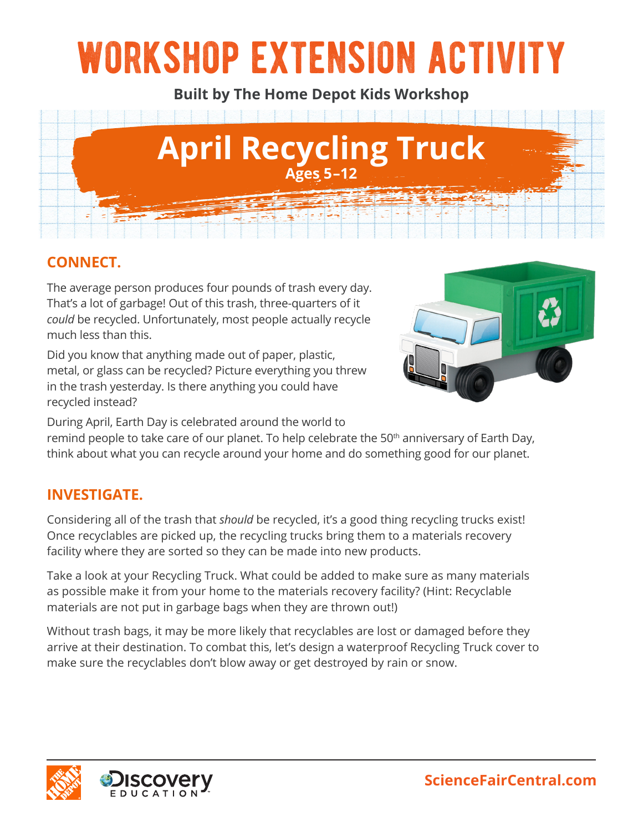# workshop extension activity

**Built by The Home Depot Kids Workshop**



# **CONNECT.**

The average person produces four pounds of trash every day. That's a lot of garbage! Out of this trash, three-quarters of it *could* be recycled. Unfortunately, most people actually recycle much less than this.

Did you know that anything made out of paper, plastic, metal, or glass can be recycled? Picture everything you threw in the trash yesterday. Is there anything you could have recycled instead?



During April, Earth Day is celebrated around the world to

remind people to take care of our planet. To help celebrate the 50<sup>th</sup> anniversary of Earth Day, think about what you can recycle around your home and do something good for our planet.

### **INVESTIGATE.**

Considering all of the trash that *should* be recycled, it's a good thing recycling trucks exist! Once recyclables are picked up, the recycling trucks bring them to a materials recovery facility where they are sorted so they can be made into new products.

Take a look at your Recycling Truck. What could be added to make sure as many materials as possible make it from your home to the materials recovery facility? (Hint: Recyclable materials are not put in garbage bags when they are thrown out!)

Without trash bags, it may be more likely that recyclables are lost or damaged before they arrive at their destination. To combat this, let's design a waterproof Recycling Truck cover to make sure the recyclables don't blow away or get destroyed by rain or snow.